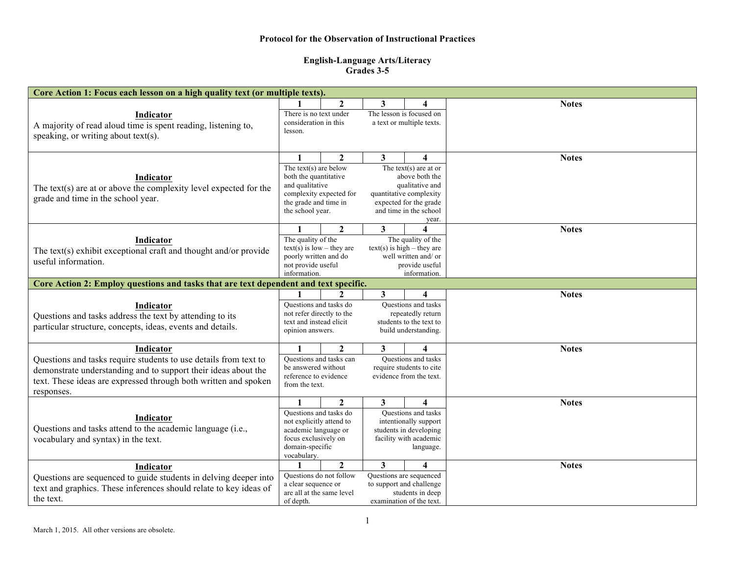## **Protocol for the Observation of Instructional Practices**

## **English-Language Arts/Literacy Grades 3-5**

| Core Action 1: Focus each lesson on a high quality text (or multiple texts).                                                                                                                                                     |                                                                                                                                                                                                                                                |                                                                                                                                               |                                                                                                                      |                                                                                                                                                    |              |  |  |  |  |  |
|----------------------------------------------------------------------------------------------------------------------------------------------------------------------------------------------------------------------------------|------------------------------------------------------------------------------------------------------------------------------------------------------------------------------------------------------------------------------------------------|-----------------------------------------------------------------------------------------------------------------------------------------------|----------------------------------------------------------------------------------------------------------------------|----------------------------------------------------------------------------------------------------------------------------------------------------|--------------|--|--|--|--|--|
|                                                                                                                                                                                                                                  |                                                                                                                                                                                                                                                | $\mathbf{2}$                                                                                                                                  | 3                                                                                                                    | $\boldsymbol{\varDelta}$                                                                                                                           | <b>Notes</b> |  |  |  |  |  |
| Indicator<br>A majority of read aloud time is spent reading, listening to,<br>speaking, or writing about text(s).                                                                                                                | There is no text under<br>consideration in this<br>lesson.                                                                                                                                                                                     |                                                                                                                                               |                                                                                                                      | The lesson is focused on<br>a text or multiple texts.                                                                                              |              |  |  |  |  |  |
|                                                                                                                                                                                                                                  | 1                                                                                                                                                                                                                                              | $\overline{2}$                                                                                                                                | 3                                                                                                                    | $\overline{\mathbf{4}}$                                                                                                                            | <b>Notes</b> |  |  |  |  |  |
| Indicator<br>The text(s) are at or above the complexity level expected for the<br>grade and time in the school year.                                                                                                             |                                                                                                                                                                                                                                                | The text( $s$ ) are below<br>both the quantitative<br>and qualitative<br>complexity expected for<br>the grade and time in<br>the school year. |                                                                                                                      | The text(s) are at or<br>above both the<br>qualitative and<br>quantitative complexity<br>expected for the grade<br>and time in the school<br>year. |              |  |  |  |  |  |
|                                                                                                                                                                                                                                  |                                                                                                                                                                                                                                                | $\mathbf{2}$                                                                                                                                  | 3                                                                                                                    | $\overline{\mathbf{4}}$                                                                                                                            | <b>Notes</b> |  |  |  |  |  |
| Indicator<br>The text(s) exhibit exceptional craft and thought and/or provide<br>useful information.                                                                                                                             | The quality of the<br>$text(s)$ is low – they are<br>poorly written and do<br>not provide useful<br>information.                                                                                                                               |                                                                                                                                               | The quality of the<br>$text(s)$ is high – they are<br>well written and/ or<br>provide useful<br>information.         |                                                                                                                                                    |              |  |  |  |  |  |
| Core Action 2: Employ questions and tasks that are text dependent and text specific.                                                                                                                                             |                                                                                                                                                                                                                                                |                                                                                                                                               |                                                                                                                      |                                                                                                                                                    |              |  |  |  |  |  |
| Indicator<br>Questions and tasks address the text by attending to its<br>particular structure, concepts, ideas, events and details.                                                                                              | 2<br>Questions and tasks do<br>not refer directly to the<br>text and instead elicit<br>opinion answers.                                                                                                                                        |                                                                                                                                               | 3<br>$\boldsymbol{4}$<br>Questions and tasks<br>repeatedly return<br>students to the text to<br>build understanding. |                                                                                                                                                    | <b>Notes</b> |  |  |  |  |  |
| Indicator<br>Questions and tasks require students to use details from text to<br>demonstrate understanding and to support their ideas about the<br>text. These ideas are expressed through both written and spoken<br>responses. | $\mathbf{2}$<br>3<br>$\overline{\mathbf{4}}$<br>$\mathbf{1}$<br>Ouestions and tasks can<br><b>Ouestions</b> and tasks<br>require students to cite<br>be answered without<br>reference to evidence<br>evidence from the text.<br>from the text. |                                                                                                                                               |                                                                                                                      | <b>Notes</b>                                                                                                                                       |              |  |  |  |  |  |
|                                                                                                                                                                                                                                  | 1                                                                                                                                                                                                                                              | $\mathbf{2}$                                                                                                                                  | 3                                                                                                                    | $\overline{\mathbf{4}}$                                                                                                                            | <b>Notes</b> |  |  |  |  |  |
| Indicator<br>Questions and tasks attend to the academic language (i.e.,<br>vocabulary and syntax) in the text.                                                                                                                   | Questions and tasks do<br>not explicitly attend to<br>academic language or<br>focus exclusively on<br>domain-specific<br>vocabulary.                                                                                                           |                                                                                                                                               | Questions and tasks<br>intentionally support<br>students in developing<br>facility with academic<br>language.        |                                                                                                                                                    |              |  |  |  |  |  |
| Indicator                                                                                                                                                                                                                        | 1                                                                                                                                                                                                                                              | $\overline{2}$                                                                                                                                | 3                                                                                                                    | $\boldsymbol{4}$                                                                                                                                   | <b>Notes</b> |  |  |  |  |  |
| Questions are sequenced to guide students in delving deeper into<br>text and graphics. These inferences should relate to key ideas of<br>the text.                                                                               | Questions do not follow<br>a clear sequence or<br>are all at the same level<br>of depth.                                                                                                                                                       |                                                                                                                                               | Questions are sequenced<br>to support and challenge<br>students in deep<br>examination of the text.                  |                                                                                                                                                    |              |  |  |  |  |  |